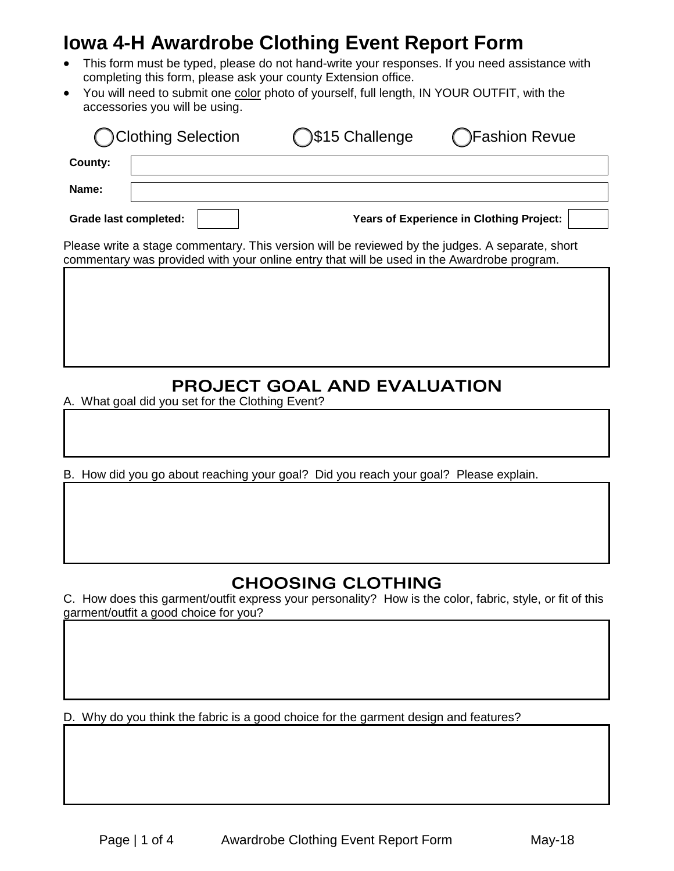# **Iowa 4-H Awardrobe Clothing Event Report Form**

- This form must be typed, please do not hand-write your responses. If you need assistance with completing this form, please ask your county Extension office.
- You will need to submit one color photo of yourself, full length, IN YOUR OUTFIT, with the accessories you will be using.

| ◯Clothing Selection                                                                                                                                                                           | ◯\$15 Challenge | ◯Fashion Revue |
|-----------------------------------------------------------------------------------------------------------------------------------------------------------------------------------------------|-----------------|----------------|
| County:                                                                                                                                                                                       |                 |                |
| Name:                                                                                                                                                                                         |                 |                |
| Years of Experience in Clothing Project:<br><b>Grade last completed:</b>                                                                                                                      |                 |                |
| Please write a stage commentary. This version will be reviewed by the judges. A separate, short<br>commentary was provided with your online entry that will be used in the Awardrobe program. |                 |                |

#### PROJECT GOAL AND EVALUATION

A. What goal did you set for the Clothing Event?

B. How did you go about reaching your goal? Did you reach your goal? Please explain.

#### **CHOOSING CLOTHING**

C. How does this garment/outfit express your personality? How is the color, fabric, style, or fit of this garment/outfit a good choice for you?

D. Why do you think the fabric is a good choice for the garment design and features?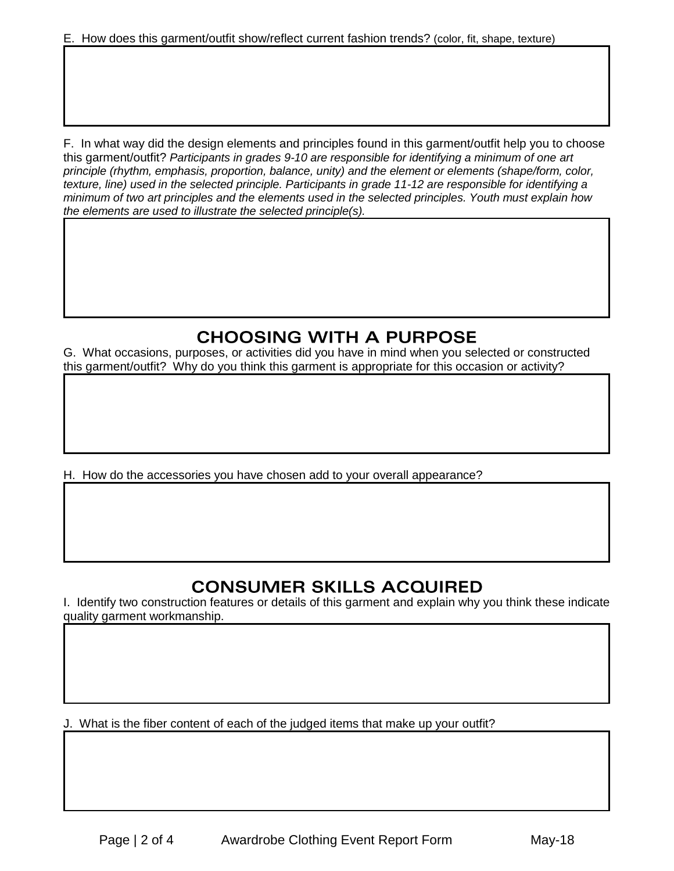F. In what way did the design elements and principles found in this garment/outfit help you to choose this garment/outfit? *Participants in grades 9-10 are responsible for identifying a minimum of one art principle (rhythm, emphasis, proportion, balance, unity) and the element or elements (shape/form, color, texture, line) used in the selected principle. Participants in grade 11-12 are responsible for identifying a minimum of two art principles and the elements used in the selected principles. Youth must explain how the elements are used to illustrate the selected principle(s).*

# **CHOOSING WITH A PURPOSE**

G. What occasions, purposes, or activities did you have in mind when you selected or constructed this garment/outfit? Why do you think this garment is appropriate for this occasion or activity?

H. How do the accessories you have chosen add to your overall appearance?

## **CONSUMER SKILLS ACQUIRED**

I. Identify two construction features or details of this garment and explain why you think these indicate quality garment workmanship.

J. What is the fiber content of each of the judged items that make up your outfit?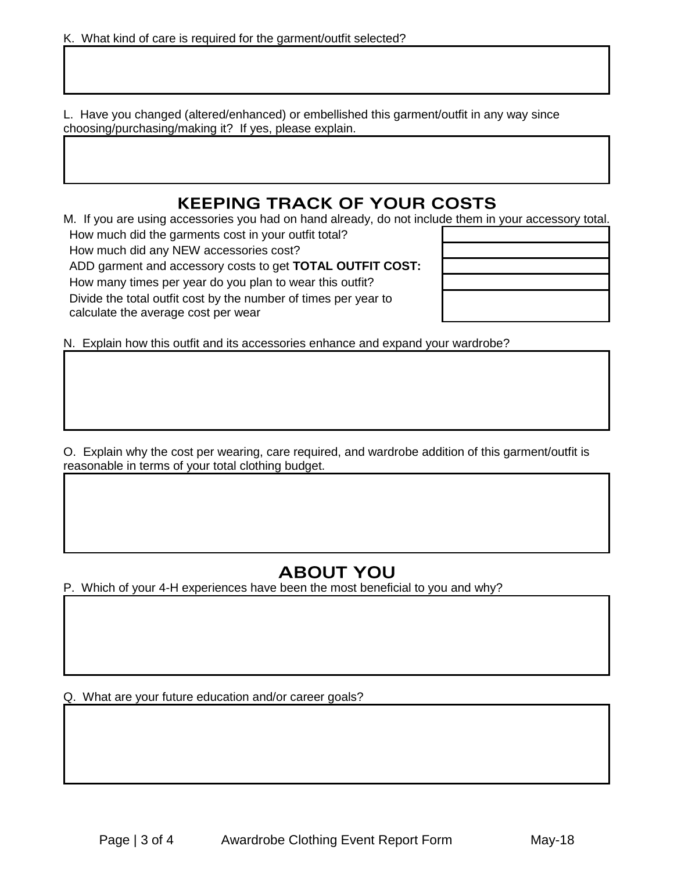L. Have you changed (altered/enhanced) or embellished this garment/outfit in any way since choosing/purchasing/making it? If yes, please explain.

### **KEEPING TRACK OF YOUR COSTS**

M. If you are using accessories you had on hand already, do not include them in your accessory total.

How much did the garments cost in your outfit total? How much did any NEW accessories cost? ADD garment and accessory costs to get **TOTAL OUTFIT COST:** How many times per year do you plan to wear this outfit? Divide the total outfit cost by the number of times per year to calculate the average cost per wear

N. Explain how this outfit and its accessories enhance and expand your wardrobe?

O. Explain why the cost per wearing, care required, and wardrobe addition of this garment/outfit is reasonable in terms of your total clothing budget.

## **ABOUT YOU**

P. Which of your 4-H experiences have been the most beneficial to you and why?

Q. What are your future education and/or career goals?